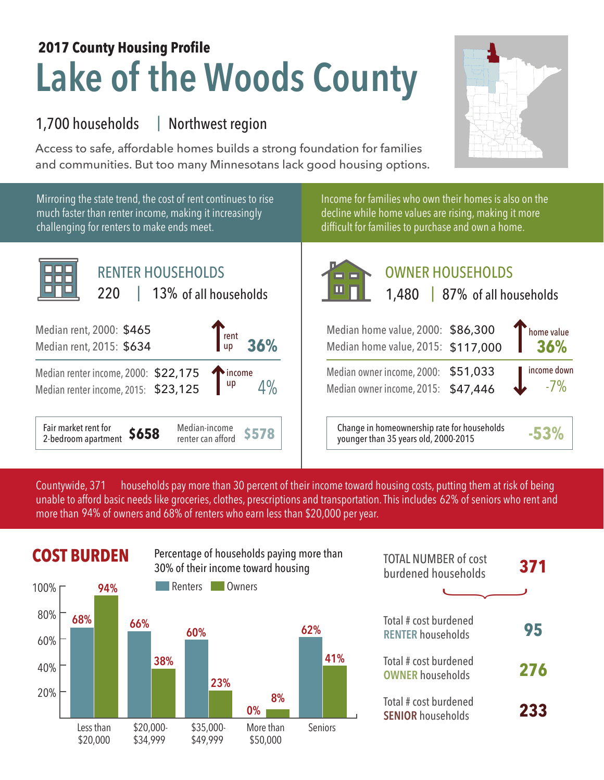## **Lake of the Woods County 2017 County Housing Profile**

## 1,700 households Northwest region |

Access to safe, affordable homes builds a strong foundation for families and communities. But too many Minnesotans lack good housing options.



Mirroring the state trend, the cost of rent continues to rise much faster than renter income, making it increasingly challenging for renters to make ends meet.



Income for families who own their homes is also on the decline while home values are rising, making it more difficult for families to purchase and own a home.



## OWNER HOUSEHOLDS

| $\begin{bmatrix}$ rent $\mathsf{u}\mathsf{p} \end{bmatrix}$<br>36%      | Median home value, 2000: \$86,300<br>Median home value, 2015: \$117,000             | home value<br>36%    |
|-------------------------------------------------------------------------|-------------------------------------------------------------------------------------|----------------------|
| 175 $\begin{bmatrix} \frac{1}{25} \\ \frac{1}{25} \end{bmatrix}$ income | Median owner income, 2000: \$51,033<br>Median owner income, 2015: \$47,446          | income down<br>$-7%$ |
| Median-income<br><b>\$578</b><br>renter can afford                      | Change in homeownership rate for households<br>younger than 35 years old, 2000-2015 | $-53^{\circ}$        |

households pay more than 30 percent of their income toward housing costs, putting them at risk of being unable to afford basic needs like groceries, clothes, prescriptions and transportation. This includes 62% of seniors who rent and more than 94% of owners and 68% of renters who earn less than \$20,000 per year. Countywide, 371



| <b>TOTAL NUMBER of cost</b><br>burdened households | 371 |
|----------------------------------------------------|-----|
|                                                    |     |
| Total # cost burdened<br><b>RENTER households</b>  | 95  |
| Total # cost burdened<br><b>OWNER households</b>   | 276 |
| Total # cost burdened<br><b>SENIOR households</b>  | 233 |